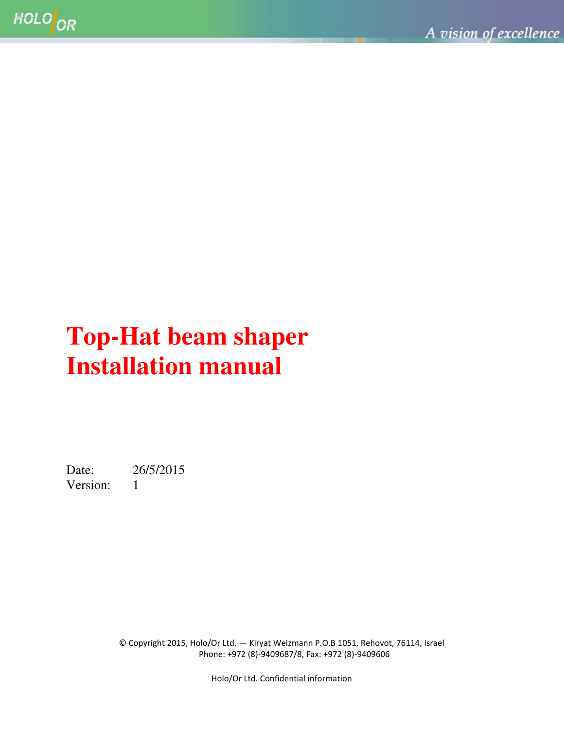# **Top-Hat beam shaper Installation manual**

Date: 26/5/2015 Version: 1

> © Copyright 2015, Holo/Or Ltd. — Kiryat Weizmann P.O.B 1051, Rehovot, 76114, Israel Phone: +972 (8)-9409687/8, Fax: +972 (8)-9409606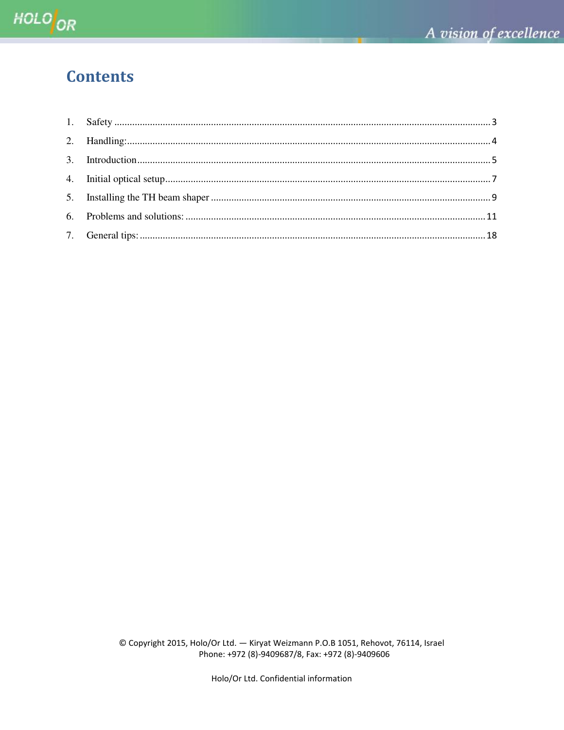### **Contents**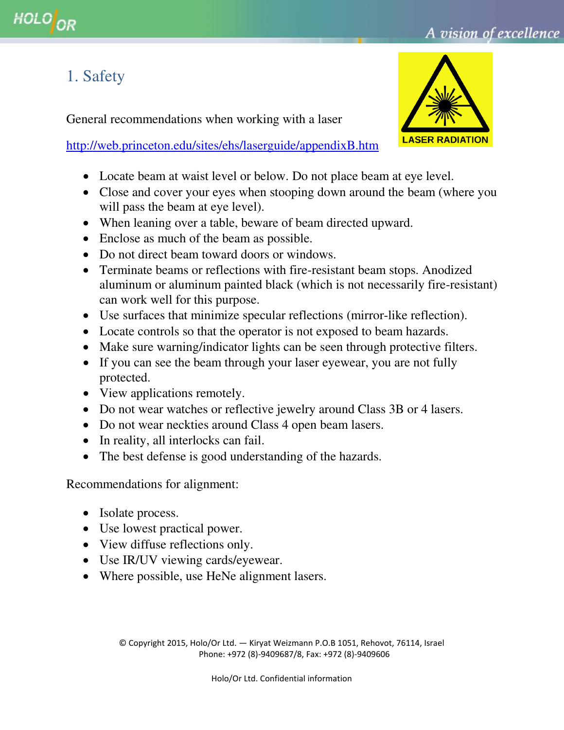## <span id="page-2-0"></span>1. Safety

General recommendations when working with a laser

<http://web.princeton.edu/sites/ehs/laserguide/appendixB.htm>

- Locate beam at waist level or below. Do not place beam at eye level.
- Close and cover your eyes when stooping down around the beam (where you will pass the beam at eye level).
- When leaning over a table, beware of beam directed upward.
- Enclose as much of the beam as possible.
- Do not direct beam toward doors or windows.
- Terminate beams or reflections with fire-resistant beam stops. Anodized aluminum or aluminum painted black (which is not necessarily fire-resistant) can work well for this purpose.
- Use surfaces that minimize specular reflections (mirror-like reflection).
- Locate controls so that the operator is not exposed to beam hazards.
- Make sure warning/indicator lights can be seen through protective filters.
- If you can see the beam through your laser eyewear, you are not fully protected.
- View applications remotely.
- Do not wear watches or reflective jewelry around Class 3B or 4 lasers.
- Do not wear neckties around Class 4 open beam lasers.
- In reality, all interlocks can fail.
- The best defense is good understanding of the hazards.

Recommendations for alignment:

- Isolate process.
- Use lowest practical power.
- View diffuse reflections only.
- Use IR/UV viewing cards/eyewear.
- Where possible, use HeNe alignment lasers.

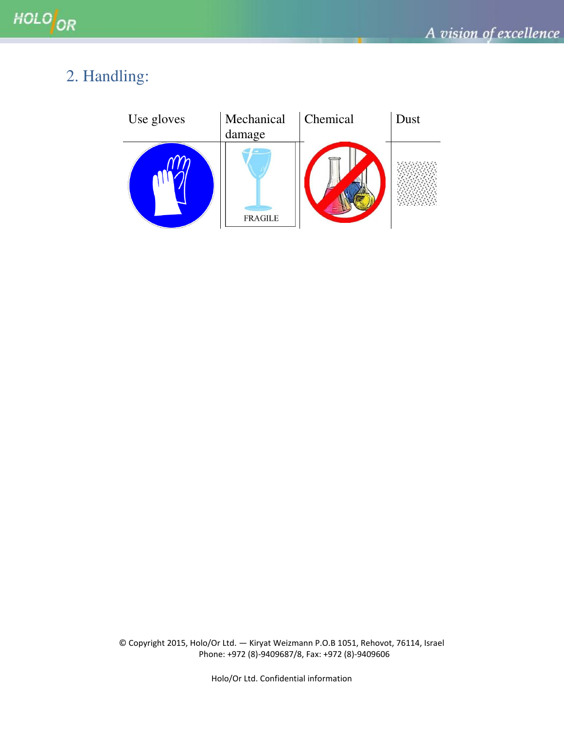## <span id="page-3-0"></span>2. Handling:

| Use gloves | Mechanical<br>damage | <b>Chemical</b> | Dust |
|------------|----------------------|-----------------|------|
|            | <b>FRAGILE</b>       |                 |      |

© Copyright 2015, Holo/Or Ltd. — Kiryat Weizmann P.O.B 1051, Rehovot, 76114, Israel Phone: +972 (8)-9409687/8, Fax: +972 (8)-9409606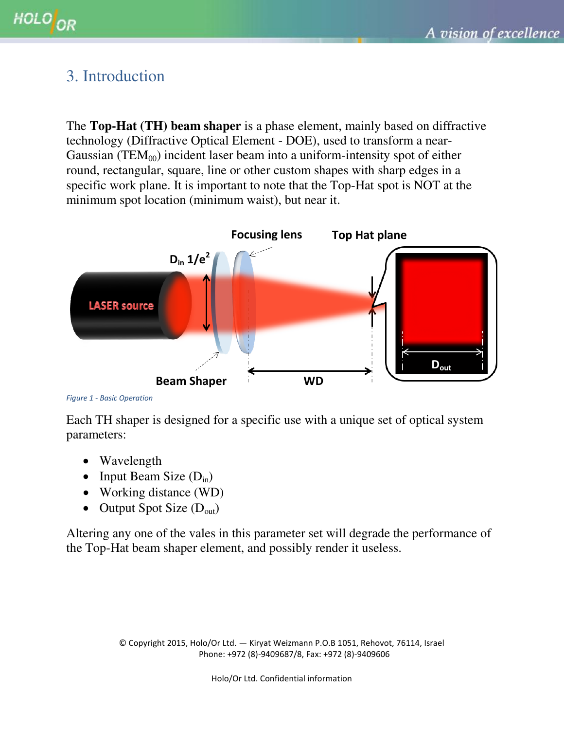### <span id="page-4-0"></span>3. Introduction

The **Top-Hat (TH) beam shaper** is a phase element, mainly based on diffractive technology (Diffractive Optical Element - DOE), used to transform a near-Gaussian (TEM $_{00}$ ) incident laser beam into a uniform-intensity spot of either round, rectangular, square, line or other custom shapes with sharp edges in a specific work plane. It is important to note that the Top-Hat spot is NOT at the minimum spot location (minimum waist), but near it.



```
Figure 1 - Basic Operation
```
Each TH shaper is designed for a specific use with a unique set of optical system parameters:

- Wavelength
- Input Beam Size  $(D_{in})$
- Working distance (WD)
- Output Spot Size  $(D_{out})$

Altering any one of the vales in this parameter set will degrade the performance of the Top-Hat beam shaper element, and possibly render it useless.

> © Copyright 2015, Holo/Or Ltd. — Kiryat Weizmann P.O.B 1051, Rehovot, 76114, Israel Phone: +972 (8)-9409687/8, Fax: +972 (8)-9409606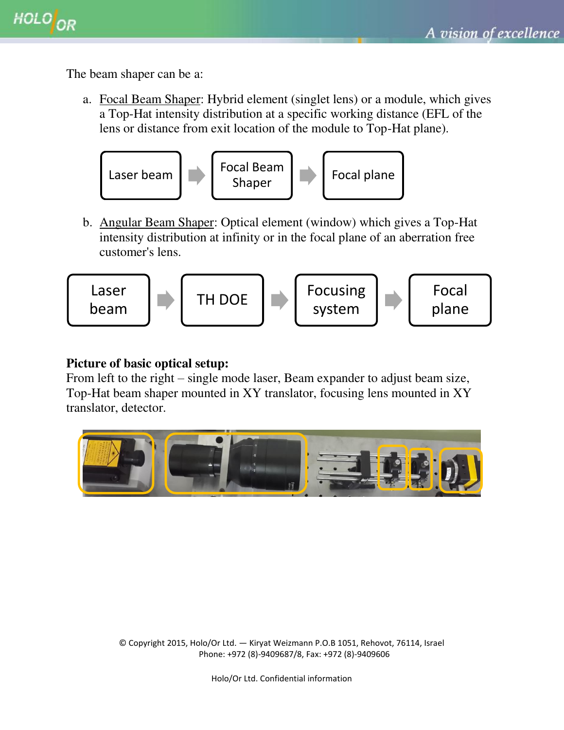The beam shaper can be a:

a. Focal Beam Shaper: Hybrid element (singlet lens) or a module, which gives a Top-Hat intensity distribution at a specific working distance (EFL of the lens or distance from exit location of the module to Top-Hat plane).



b. Angular Beam Shaper: Optical element (window) which gives a Top-Hat intensity distribution at infinity or in the focal plane of an aberration free customer's lens.

$$
\begin{array}{|c|c|c|c|}\n\hline\n\text{Laser} & & \text{TH DOE} \\
\hline\n\text{beam} & & \text{Focusing} \\
\hline\n\end{array}
$$

#### **Picture of basic optical setup:**

From left to the right – single mode laser, Beam expander to adjust beam size, Top-Hat beam shaper mounted in XY translator, focusing lens mounted in XY translator, detector.

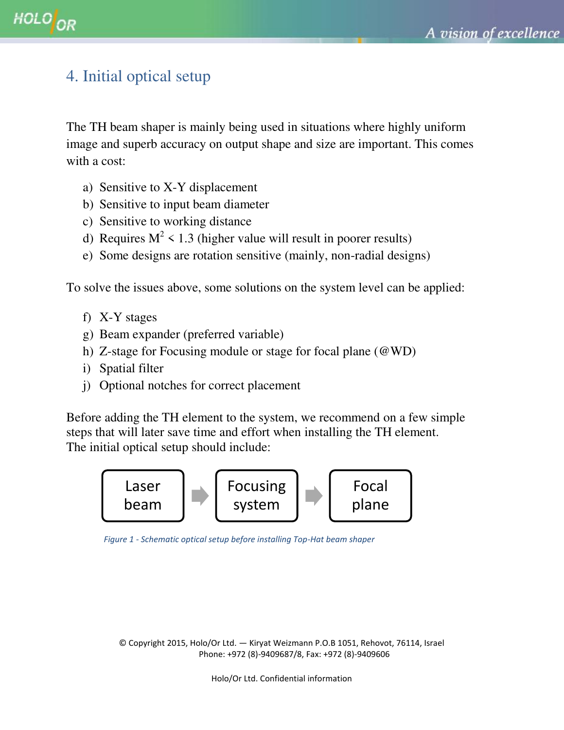## <span id="page-6-0"></span>4. Initial optical setup

The TH beam shaper is mainly being used in situations where highly uniform image and superb accuracy on output shape and size are important. This comes with a cost:

- a) Sensitive to X-Y displacement
- b) Sensitive to input beam diameter
- c) Sensitive to working distance
- d) Requires  $M^2$  < 1.3 (higher value will result in poorer results)
- e) Some designs are rotation sensitive (mainly, non-radial designs)

To solve the issues above, some solutions on the system level can be applied:

- f) X-Y stages
- g) Beam expander (preferred variable)
- h) Z-stage for Focusing module or stage for focal plane (@WD)
- i) Spatial filter
- j) Optional notches for correct placement

Before adding the TH element to the system, we recommend on a few simple steps that will later save time and effort when installing the TH element. The initial optical setup should include:



 *Figure 1 - Schematic optical setup before installing Top-Hat beam shaper* 

© Copyright 2015, Holo/Or Ltd. — Kiryat Weizmann P.O.B 1051, Rehovot, 76114, Israel Phone: +972 (8)-9409687/8, Fax: +972 (8)-9409606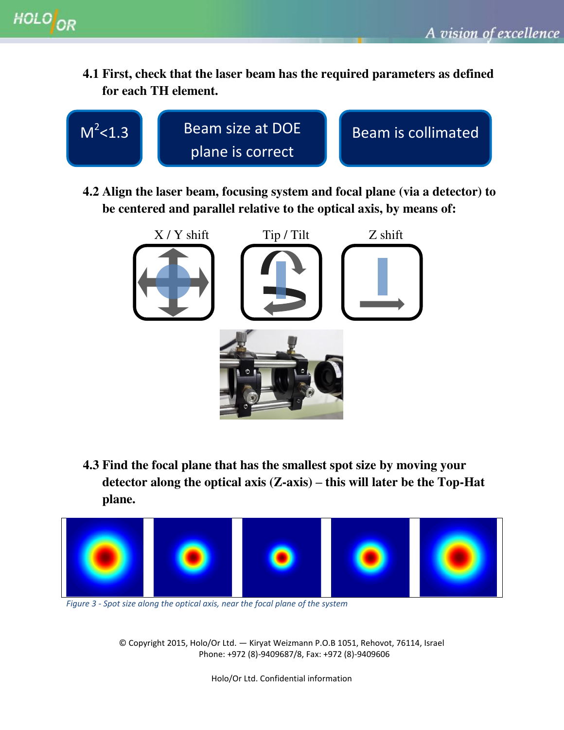**4.1 First, check that the laser beam has the required parameters as defined for each TH element.** 



**4.2 Align the laser beam, focusing system and focal plane (via a detector) to be centered and parallel relative to the optical axis, by means of:** 



**4.3 Find the focal plane that has the smallest spot size by moving your detector along the optical axis (Z-axis) – this will later be the Top-Hat plane.** 



*Figure 3 - Spot size along the optical axis, near the focal plane of the system* 

© Copyright 2015, Holo/Or Ltd. — Kiryat Weizmann P.O.B 1051, Rehovot, 76114, Israel Phone: +972 (8)-9409687/8, Fax: +972 (8)-9409606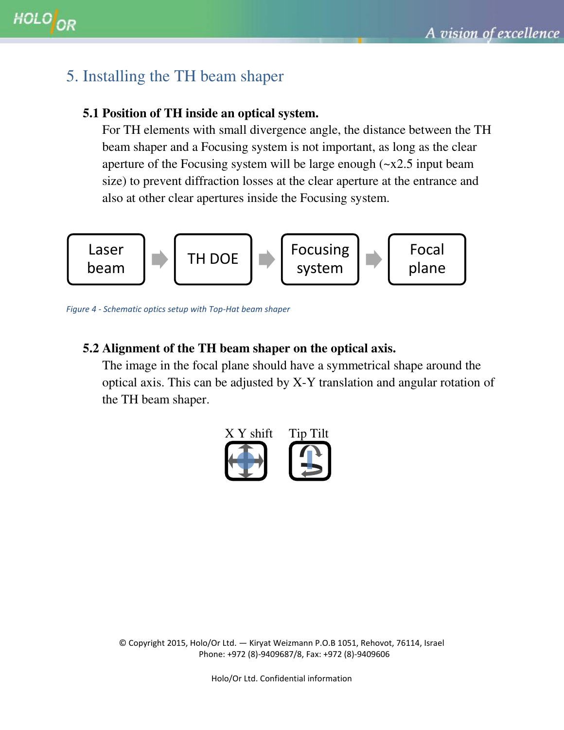### <span id="page-8-0"></span>5. Installing the TH beam shaper

#### **5.1 Position of TH inside an optical system.**

For TH elements with small divergence angle, the distance between the TH beam shaper and a Focusing system is not important, as long as the clear aperture of the Focusing system will be large enough  $(\sim x2.5$  input beam size) to prevent diffraction losses at the clear aperture at the entrance and also at other clear apertures inside the Focusing system.



*Figure 4 - Schematic optics setup with Top-Hat beam shaper*

#### **5.2 Alignment of the TH beam shaper on the optical axis.**

The image in the focal plane should have a symmetrical shape around the optical axis. This can be adjusted by X-Y translation and angular rotation of the TH beam shaper.



© Copyright 2015, Holo/Or Ltd. — Kiryat Weizmann P.O.B 1051, Rehovot, 76114, Israel Phone: +972 (8)-9409687/8, Fax: +972 (8)-9409606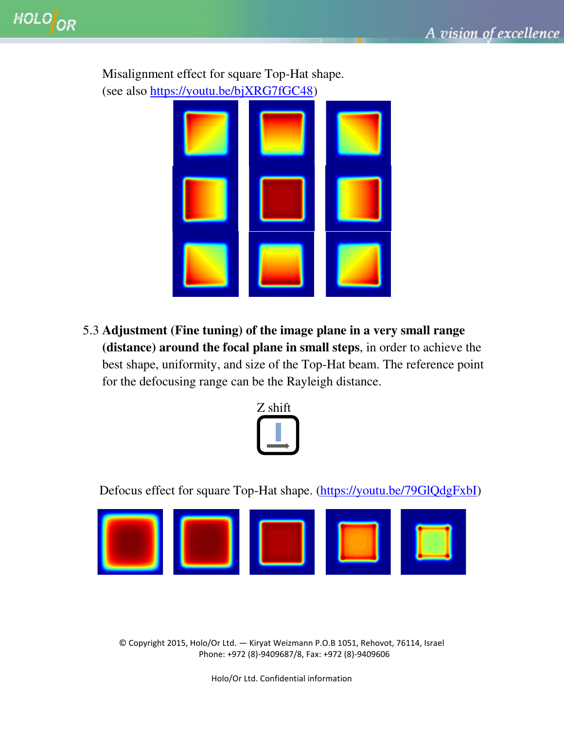

Misalignment effect for square Top-Hat shape.

5.3 **Adjustment (Fine tuning) of the image plane in a very small range (distance) around the focal plane in small steps**, in order to achieve the best shape, uniformity, and size of the Top-Hat beam. The reference point for the defocusing range can be the Rayleigh distance.



Defocus effect for square Top-Hat shape. [\(https://youtu.be/79GlQdgFxbI\)](https://youtu.be/79GlQdgFxbI)



© Copyright 2015, Holo/Or Ltd. — Kiryat Weizmann P.O.B 1051, Rehovot, 76114, Israel Phone: +972 (8)-9409687/8, Fax: +972 (8)-9409606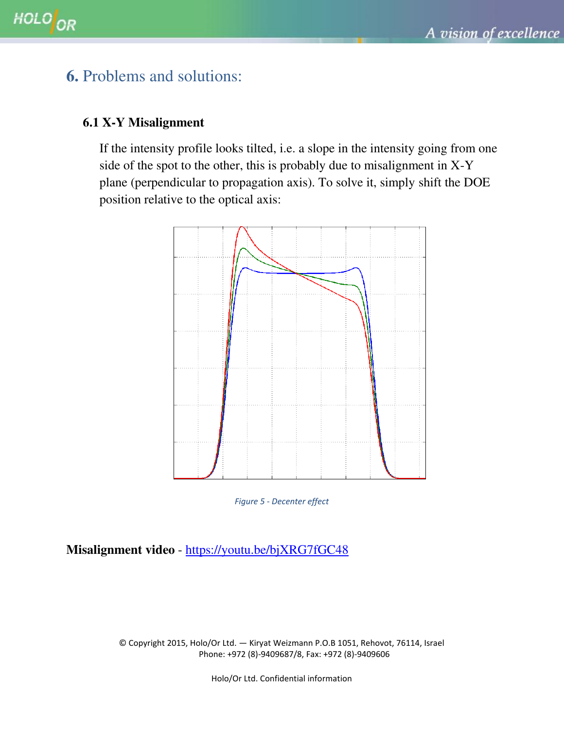### <span id="page-10-0"></span>**6.** Problems and solutions:

#### **6.1 X-Y Misalignment**

If the intensity profile looks tilted, i.e. a slope in the intensity going from one side of the spot to the other, this is probably due to misalignment in X-Y plane (perpendicular to propagation axis). To solve it, simply shift the DOE position relative to the optical axis:



*Figure 5 - Decenter effect*

**Misalignment video** -<https://youtu.be/bjXRG7fGC48>

© Copyright 2015, Holo/Or Ltd. — Kiryat Weizmann P.O.B 1051, Rehovot, 76114, Israel Phone: +972 (8)-9409687/8, Fax: +972 (8)-9409606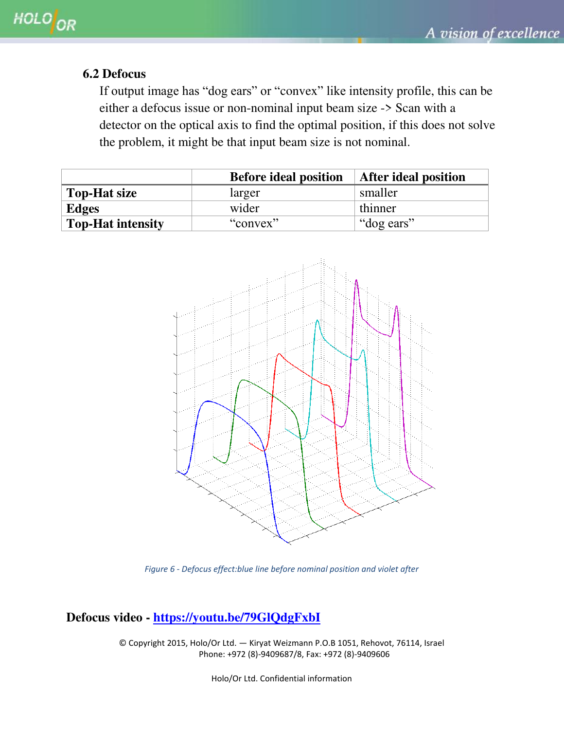#### **6.2 Defocus**

If output image has "dog ears" or "convex" like intensity profile, this can be either a defocus issue or non-nominal input beam size -> Scan with a detector on the optical axis to find the optimal position, if this does not solve the problem, it might be that input beam size is not nominal.

|                          | <b>Before ideal position</b> | <b>After ideal position</b> |
|--------------------------|------------------------------|-----------------------------|
| <b>Top-Hat size</b>      | larger                       | smaller                     |
| <b>Edges</b>             | wider                        | thinner                     |
| <b>Top-Hat intensity</b> | "convex"                     | "dog ears"                  |



*Figure 6 - Defocus effect:blue line before nominal position and violet after*

#### **Defocus video -<https://youtu.be/79GlQdgFxbI>**

© Copyright 2015, Holo/Or Ltd. — Kiryat Weizmann P.O.B 1051, Rehovot, 76114, Israel Phone: +972 (8)-9409687/8, Fax: +972 (8)-9409606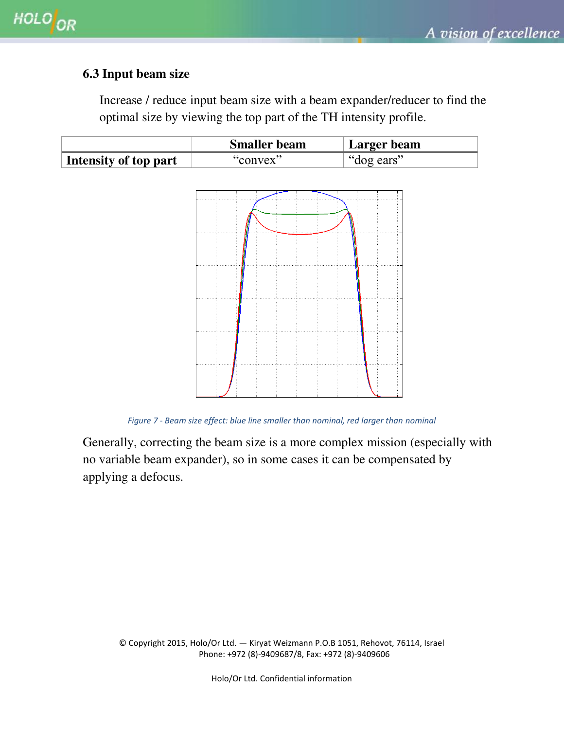#### **6.3 Input beam size**

Increase / reduce input beam size with a beam expander/reducer to find the optimal size by viewing the top part of the TH intensity profile.

|                       | <b>Smaller beam</b> | Larger beam       |
|-----------------------|---------------------|-------------------|
| Intensity of top part | "convex"            | $\int$ "dog ears" |



*Figure 7 - Beam size effect: blue line smaller than nominal, red larger than nominal* 

Generally, correcting the beam size is a more complex mission (especially with no variable beam expander), so in some cases it can be compensated by applying a defocus.

© Copyright 2015, Holo/Or Ltd. — Kiryat Weizmann P.O.B 1051, Rehovot, 76114, Israel Phone: +972 (8)-9409687/8, Fax: +972 (8)-9409606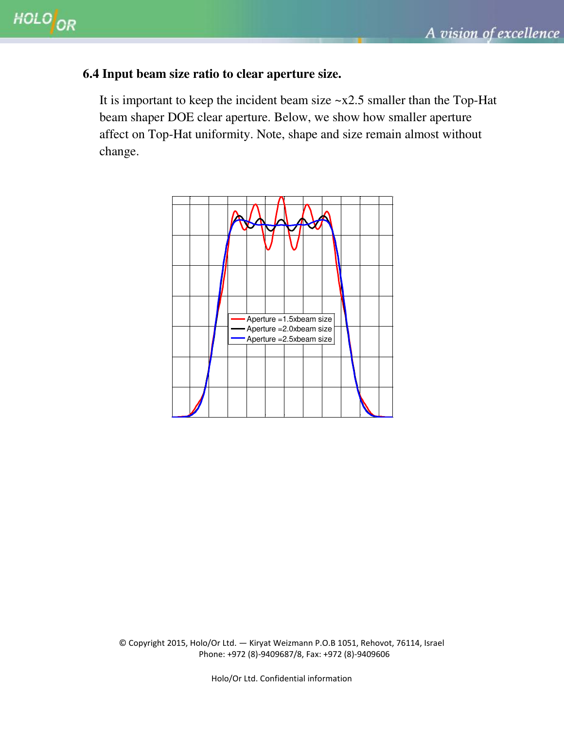#### **6.4 Input beam size ratio to clear aperture size.**

It is important to keep the incident beam size  $\sim x2.5$  smaller than the Top-Hat beam shaper DOE clear aperture. Below, we show how smaller aperture affect on Top-Hat uniformity. Note, shape and size remain almost without change.



© Copyright 2015, Holo/Or Ltd. — Kiryat Weizmann P.O.B 1051, Rehovot, 76114, Israel Phone: +972 (8)-9409687/8, Fax: +972 (8)-9409606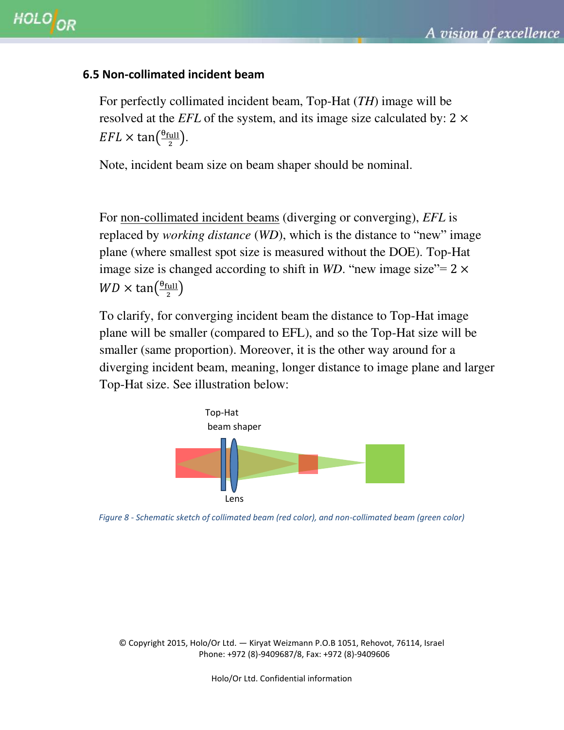#### **6.5 Non-collimated incident beam**

For perfectly collimated incident beam, Top-Hat (*TH*) image will be resolved at the *EFL* of the system, and its image size calculated by:  $2 \times$  $EFL \times \tan(\frac{\theta}{2})$  $\frac{\text{full}}{2}$ ).

Note, incident beam size on beam shaper should be nominal.

For non-collimated incident beams (diverging or converging), *EFL* is replaced by *working distance* (*WD*), which is the distance to "new" image plane (where smallest spot size is measured without the DOE). Top-Hat image size is changed according to shift in *WD*. "new image size"=  $2 \times$  $WD \times \tan(\frac{\theta}{2})$  $\frac{1}{2}$ 

To clarify, for converging incident beam the distance to Top-Hat image plane will be smaller (compared to EFL), and so the Top-Hat size will be smaller (same proportion). Moreover, it is the other way around for a diverging incident beam, meaning, longer distance to image plane and larger Top-Hat size. See illustration below:



*Figure 8 - Schematic sketch of collimated beam (red color), and non-collimated beam (green color)* 

© Copyright 2015, Holo/Or Ltd. — Kiryat Weizmann P.O.B 1051, Rehovot, 76114, Israel Phone: +972 (8)-9409687/8, Fax: +972 (8)-9409606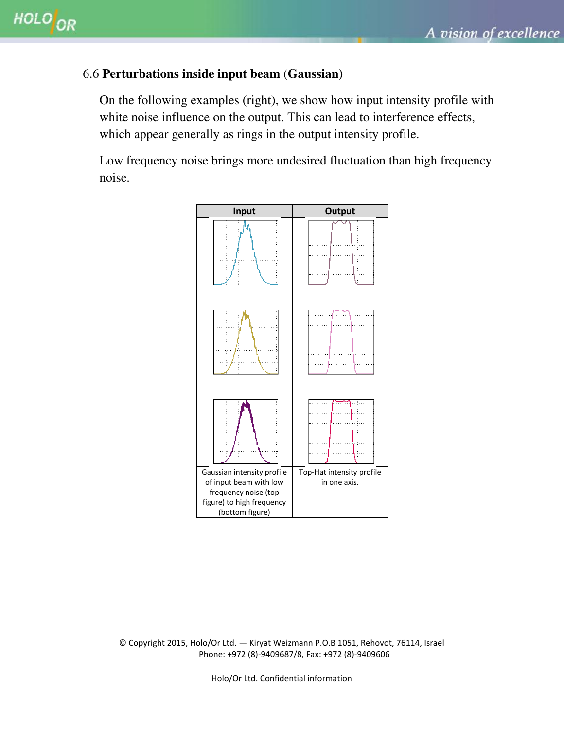### 6.6 **Perturbations inside input beam** (**Gaussian)**

On the following examples (right), we show how input intensity profile with white noise influence on the output. This can lead to interference effects, which appear generally as rings in the output intensity profile.

Low frequency noise brings more undesired fluctuation than high frequency noise.



© Copyright 2015, Holo/Or Ltd. — Kiryat Weizmann P.O.B 1051, Rehovot, 76114, Israel Phone: +972 (8)-9409687/8, Fax: +972 (8)-9409606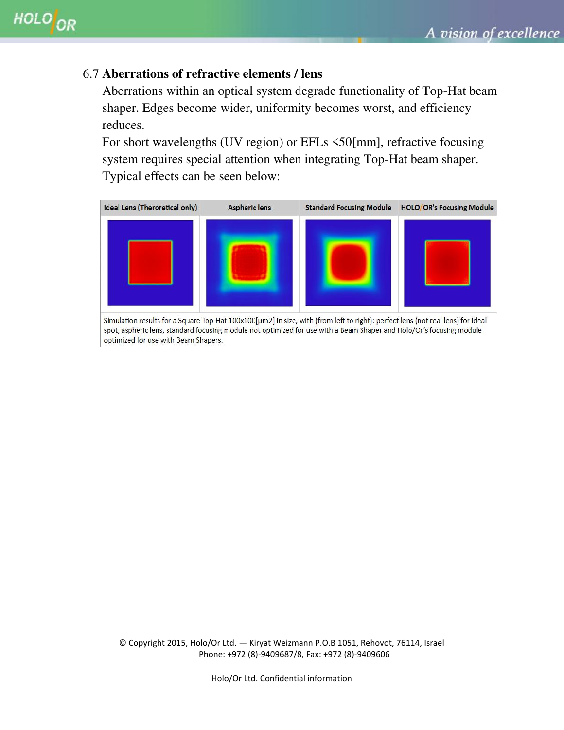#### 6.7 **Aberrations of refractive elements / lens**

Aberrations within an optical system degrade functionality of Top-Hat beam shaper. Edges become wider, uniformity becomes worst, and efficiency reduces.

For short wavelengths (UV region) or EFLs  $\leq$ 50[mm], refractive focusing system requires special attention when integrating Top-Hat beam shaper. Typical effects can be seen below:



optimized for use with Beam Shapers.

© Copyright 2015, Holo/Or Ltd. — Kiryat Weizmann P.O.B 1051, Rehovot, 76114, Israel Phone: +972 (8)-9409687/8, Fax: +972 (8)-9409606